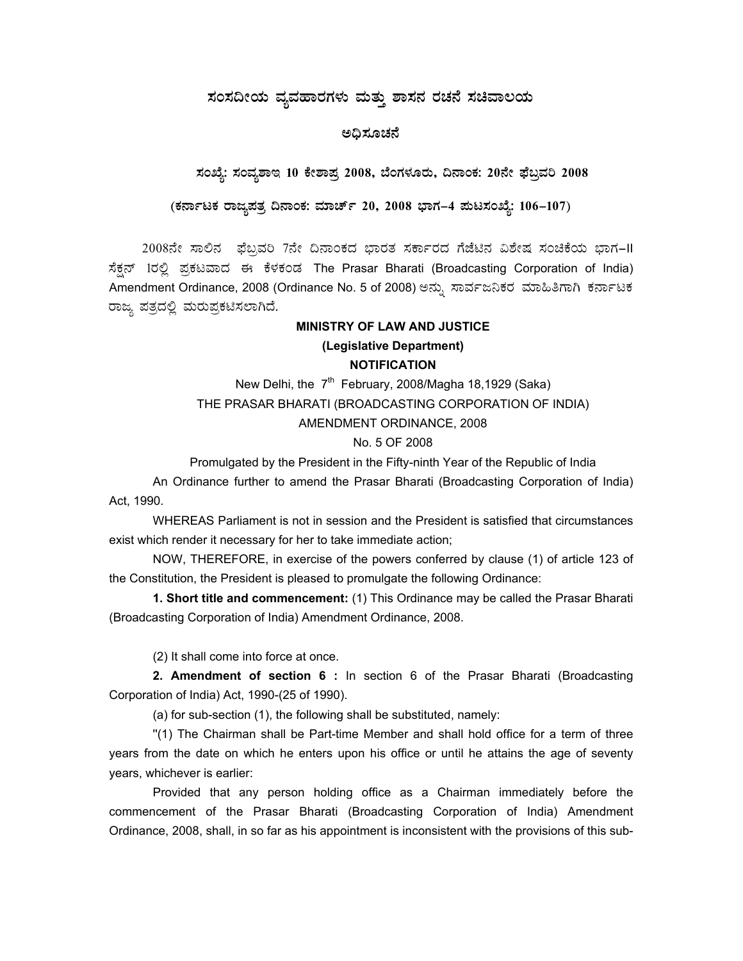# $\vec{a}$ ಸಂಸದೀಯ ವ್ಯವಹಾರಗಳು ಮತ್ತು ಶಾಸನ ರಚನೆ ಸಚಿವಾಲಯ

## ಅಧಿಸೂಚನೆ

# ಸಂಖ್ಯೆ: ಸಂವ್ಯಶಾಇ 10 ಕೇಶಾಪ್ರ 2008, ಬೆಂಗಳೂರು, ದಿನಾಂಕ: 20ನೇ ಫೆಬ್ರವರಿ 2008

#### (ಕರ್ನಾಟಕ ರಾಜ್ಯಪತ್ರ ದಿನಾಂಕ: ಮಾರ್ಚ್ 20, 2008 ಭಾಗ–4 **ಪುಟಸಂಖ್ಯೆ: 106–107**)

2008ನೇ ಸಾಲಿನ ಫೆಬ್ರವರಿ 7ನೇ ದಿನಾಂಕದ ಭಾರತ ಸರ್ಕಾರದ ಗೆಜೆಟಿನ ವಿಶೇಷ ಸಂಚಿಕೆಯ ಭಾಗ-II ಸೆಕ್ಷನ್ 1ರಲ್ಲಿ ಪ್ರಕಟವಾದ ಈ ಕೆಳಕಂಡ The Prasar Bharati (Broadcasting Corporation of India) Amendment Ordinance, 2008 (Ordinance No. 5 of 2008) ಅನ್ನು ಸಾರ್ವಜನಿಕರ ಮಾಹಿತಿಗಾಗಿ ಕರ್ನಾಟಕ ರಾಜ್ಯ ಪತ್ರದಲ್ಲಿ ಮರುಪ್ರಕಟಿಸಲಾಗಿದೆ.

# **MINISTRY OF LAW AND JUSTICE (Legislative Department) NOTIFICATION**

New Delhi, the  $7<sup>th</sup>$  February, 2008/Magha 18,1929 (Saka) THE PRASAR BHARATI (BROADCASTING CORPORATION OF INDIA) AMENDMENT ORDINANCE, 2008

### No. 5 OF 2008

Promulgated by the President in the Fifty-ninth Year of the Republic of India

An Ordinance further to amend the Prasar Bharati (Broadcasting Corporation of India) Act, 1990.

WHEREAS Parliament is not in session and the President is satisfied that circumstances exist which render it necessary for her to take immediate action;

NOW, THEREFORE, in exercise of the powers conferred by clause (1) of article 123 of the Constitution, the President is pleased to promulgate the following Ordinance:

**1. Short title and commencement:** (1) This Ordinance may be called the Prasar Bharati (Broadcasting Corporation of India) Amendment Ordinance, 2008.

(2) It shall come into force at once.

**2. Amendment of section 6 :** In section 6 of the Prasar Bharati (Broadcasting Corporation of India) Act, 1990-(25 of 1990).

(a) for sub-section (1), the following shall be substituted, namely:

''(1) The Chairman shall be Part-time Member and shall hold office for a term of three years from the date on which he enters upon his office or until he attains the age of seventy years, whichever is earlier:

Provided that any person holding office as a Chairman immediately before the commencement of the Prasar Bharati (Broadcasting Corporation of India) Amendment Ordinance, 2008, shall, in so far as his appointment is inconsistent with the provisions of this sub